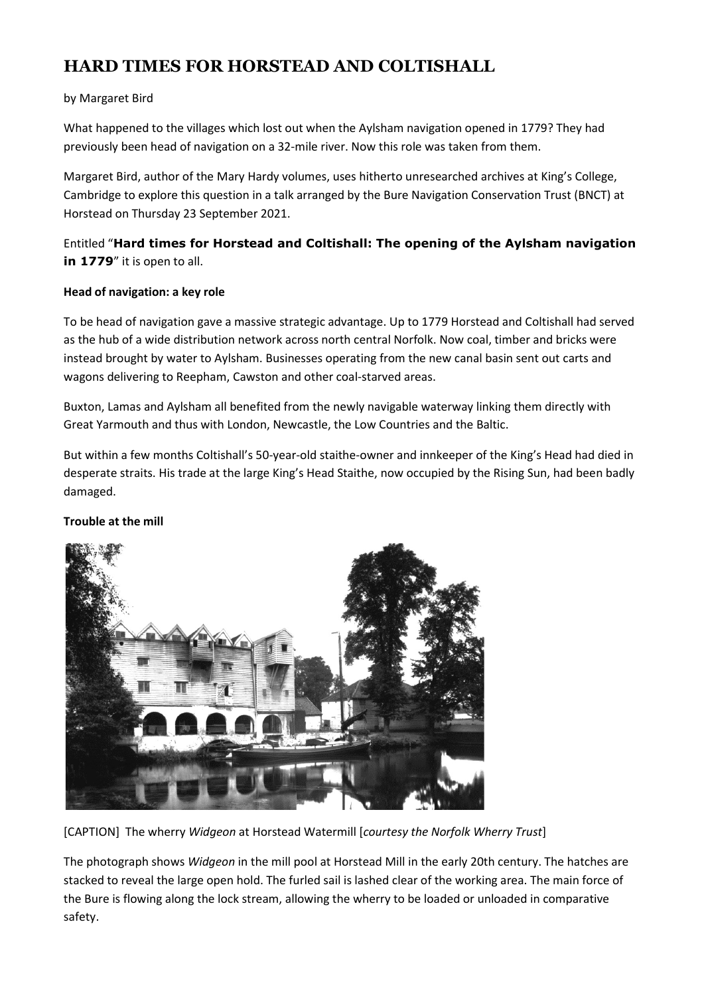# HARD TIMES FOR HORSTEAD AND COLTISHALL

## by Margaret Bird

What happened to the villages which lost out when the Aylsham navigation opened in 1779? They had previously been head of navigation on a 32-mile river. Now this role was taken from them.

Margaret Bird, author of the Mary Hardy volumes, uses hitherto unresearched archives at King's College, Cambridge to explore this question in a talk arranged by the Bure Navigation Conservation Trust (BNCT) at Horstead on Thursday 23 September 2021.

Entitled "Hard times for Horstead and Coltishall: The opening of the Aylsham navigation in 1779" it is open to all.

### Head of navigation: a key role

To be head of navigation gave a massive strategic advantage. Up to 1779 Horstead and Coltishall had served as the hub of a wide distribution network across north central Norfolk. Now coal, timber and bricks were instead brought by water to Aylsham. Businesses operating from the new canal basin sent out carts and wagons delivering to Reepham, Cawston and other coal-starved areas.

Buxton, Lamas and Aylsham all benefited from the newly navigable waterway linking them directly with Great Yarmouth and thus with London, Newcastle, the Low Countries and the Baltic.

But within a few months Coltishall's 50-year-old staithe-owner and innkeeper of the King's Head had died in desperate straits. His trade at the large King's Head Staithe, now occupied by the Rising Sun, had been badly damaged.

### Trouble at the mill



[CAPTION] The wherry Widgeon at Horstead Watermill [courtesy the Norfolk Wherry Trust]

The photograph shows Widgeon in the mill pool at Horstead Mill in the early 20th century. The hatches are stacked to reveal the large open hold. The furled sail is lashed clear of the working area. The main force of the Bure is flowing along the lock stream, allowing the wherry to be loaded or unloaded in comparative safety.